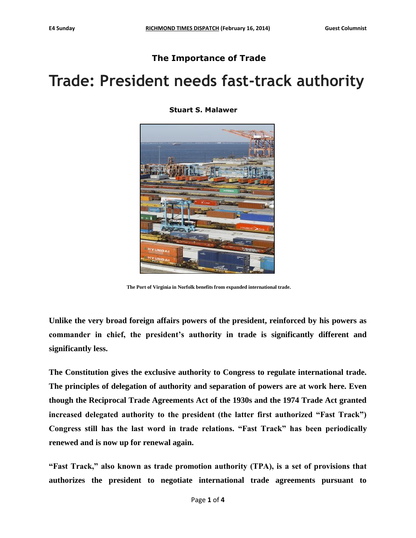## **The Importance of Trade**

## **Trade: President needs fast-track authority**

**Stuart S. Malawer**



**The Port of Virginia in Norfolk benefits from expanded international trade.**

**Unlike the very broad foreign affairs powers of the president, reinforced by his powers as commander in chief, the president's authority in trade is significantly different and significantly less.**

**The Constitution gives the exclusive authority to Congress to regulate international trade. The principles of delegation of authority and separation of powers are at work here. Even though the Reciprocal Trade Agreements Act of the 1930s and the 1974 Trade Act granted increased delegated authority to the president (the latter first authorized "Fast Track") Congress still has the last word in trade relations. "Fast Track" has been periodically renewed and is now up for renewal again.**

**"Fast Track," also known as trade promotion authority (TPA), is a set of provisions that authorizes the president to negotiate international trade agreements pursuant to**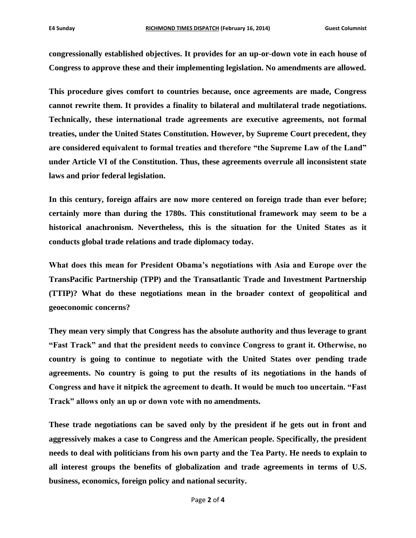**congressionally established objectives. It provides for an up-or-down vote in each house of Congress to approve these and their implementing legislation. No amendments are allowed.**

**This procedure gives comfort to countries because, once agreements are made, Congress cannot rewrite them. It provides a finality to bilateral and multilateral trade negotiations. Technically, these international trade agreements are executive agreements, not formal treaties, under the United States Constitution. However, by Supreme Court precedent, they are considered equivalent to formal treaties and therefore "the Supreme Law of the Land" under Article VI of the Constitution. Thus, these agreements overrule all inconsistent state laws and prior federal legislation.**

**In this century, foreign affairs are now more centered on foreign trade than ever before; certainly more than during the 1780s. This constitutional framework may seem to be a historical anachronism. Nevertheless, this is the situation for the United States as it conducts global trade relations and trade diplomacy today.**

**What does this mean for President Obama's negotiations with Asia and Europe over the TransPacific Partnership (TPP) and the Transatlantic Trade and Investment Partnership (TTIP)? What do these negotiations mean in the broader context of geopolitical and geoeconomic concerns?**

**They mean very simply that Congress has the absolute authority and thus leverage to grant "Fast Track" and that the president needs to convince Congress to grant it. Otherwise, no country is going to continue to negotiate with the United States over pending trade agreements. No country is going to put the results of its negotiations in the hands of Congress and have it nitpick the agreement to death. It would be much too uncertain. "Fast Track" allows only an up or down vote with no amendments.**

**These trade negotiations can be saved only by the president if he gets out in front and aggressively makes a case to Congress and the American people. Specifically, the president needs to deal with politicians from his own party and the Tea Party. He needs to explain to all interest groups the benefits of globalization and trade agreements in terms of U.S. business, economics, foreign policy and national security.**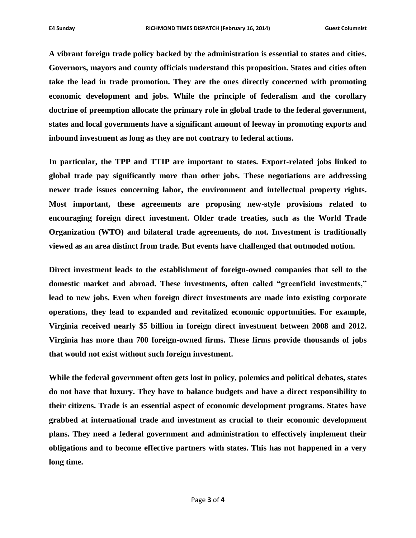**A vibrant foreign trade policy backed by the administration is essential to states and cities. Governors, mayors and county officials understand this proposition. States and cities often take the lead in trade promotion. They are the ones directly concerned with promoting economic development and jobs. While the principle of federalism and the corollary doctrine of preemption allocate the primary role in global trade to the federal government, states and local governments have a significant amount of leeway in promoting exports and inbound investment as long as they are not contrary to federal actions.**

**In particular, the TPP and TTIP are important to states. Export-related jobs linked to global trade pay significantly more than other jobs. These negotiations are addressing newer trade issues concerning labor, the environment and intellectual property rights. Most important, these agreements are proposing new-style provisions related to encouraging foreign direct investment. Older trade treaties, such as the World Trade Organization (WTO) and bilateral trade agreements, do not. Investment is traditionally viewed as an area distinct from trade. But events have challenged that outmoded notion.**

**Direct investment leads to the establishment of foreign-owned companies that sell to the domestic market and abroad. These investments, often called "greenfield investments," lead to new jobs. Even when foreign direct investments are made into existing corporate operations, they lead to expanded and revitalized economic opportunities. For example, Virginia received nearly \$5 billion in foreign direct investment between 2008 and 2012. Virginia has more than 700 foreign-owned firms. These firms provide thousands of jobs that would not exist without such foreign investment.**

**While the federal government often gets lost in policy, polemics and political debates, states do not have that luxury. They have to balance budgets and have a direct responsibility to their citizens. Trade is an essential aspect of economic development programs. States have grabbed at international trade and investment as crucial to their economic development plans. They need a federal government and administration to effectively implement their obligations and to become effective partners with states. This has not happened in a very long time.**